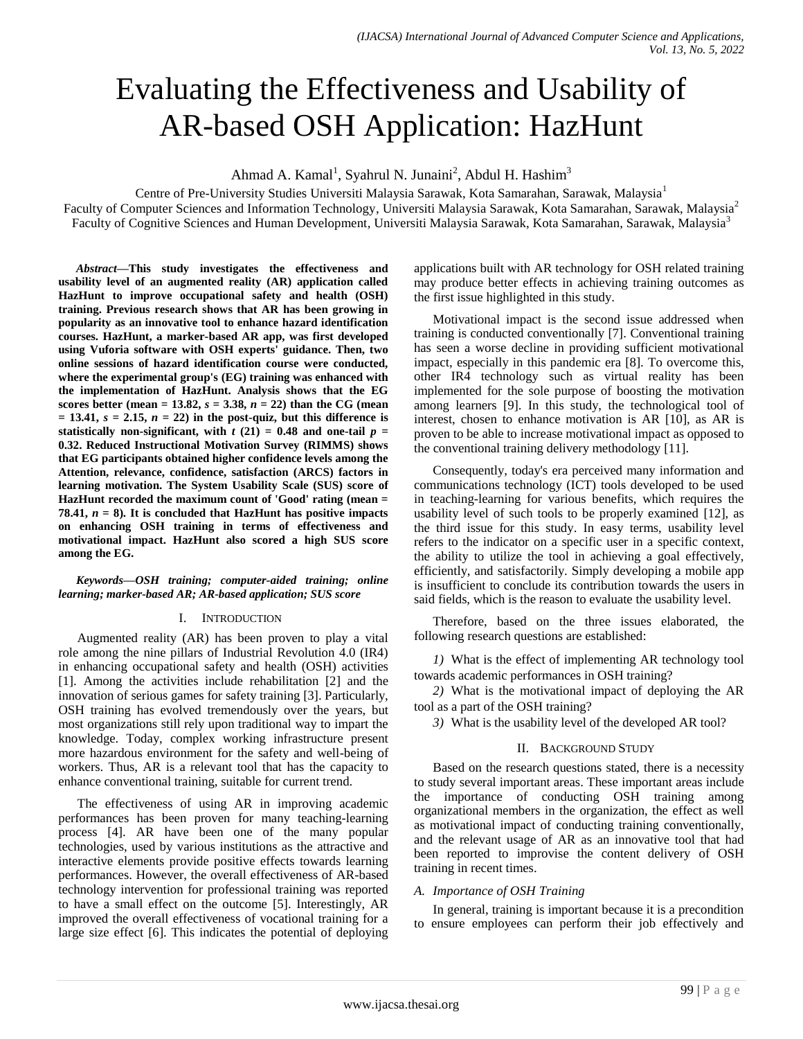# Evaluating the Effectiveness and Usability of AR-based OSH Application: HazHunt

Ahmad A. Kamal<sup>1</sup>, Syahrul N. Junaini<sup>2</sup>, Abdul H. Hashim<sup>3</sup>

Centre of Pre-University Studies Universiti Malaysia Sarawak, Kota Samarahan, Sarawak, Malaysia<sup>1</sup> Faculty of Computer Sciences and Information Technology, Universiti Malaysia Sarawak, Kota Samarahan, Sarawak, Malaysia<sup>2</sup> Faculty of Cognitive Sciences and Human Development, Universiti Malaysia Sarawak, Kota Samarahan, Sarawak, Malaysia<sup>3</sup>

*Abstract***—This study investigates the effectiveness and usability level of an augmented reality (AR) application called HazHunt to improve occupational safety and health (OSH) training. Previous research shows that AR has been growing in popularity as an innovative tool to enhance hazard identification courses. HazHunt, a marker-based AR app, was first developed using Vuforia software with OSH experts' guidance. Then, two online sessions of hazard identification course were conducted, where the experimental group's (EG) training was enhanced with the implementation of HazHunt. Analysis shows that the EG scores better (mean = 13.82,**  $s = 3.38$ **,**  $n = 22$ **) than the CG (mean**  $= 13.41, s = 2.15, n = 22$  in the post-quiz, but this difference is **statistically non-significant, with**  $t(21) = 0.48$  **and one-tail**  $p =$ **0.32. Reduced Instructional Motivation Survey (RIMMS) shows that EG participants obtained higher confidence levels among the Attention, relevance, confidence, satisfaction (ARCS) factors in learning motivation. The System Usability Scale (SUS) score of HazHunt recorded the maximum count of 'Good' rating (mean = 78.41,**  $n = 8$ **). It is concluded that HazHunt has positive impacts on enhancing OSH training in terms of effectiveness and motivational impact. HazHunt also scored a high SUS score among the EG.**

#### *Keywords—OSH training; computer-aided training; online learning; marker-based AR; AR-based application; SUS score*

#### I. INTRODUCTION

Augmented reality (AR) has been proven to play a vital role among the nine pillars of Industrial Revolution 4.0 (IR4) in enhancing occupational safety and health (OSH) activities [1]. Among the activities include rehabilitation [2] and the innovation of serious games for safety training [3]. Particularly, OSH training has evolved tremendously over the years, but most organizations still rely upon traditional way to impart the knowledge. Today, complex working infrastructure present more hazardous environment for the safety and well-being of workers. Thus, AR is a relevant tool that has the capacity to enhance conventional training, suitable for current trend.

The effectiveness of using AR in improving academic performances has been proven for many teaching-learning process [4]. AR have been one of the many popular technologies, used by various institutions as the attractive and interactive elements provide positive effects towards learning performances. However, the overall effectiveness of AR-based technology intervention for professional training was reported to have a small effect on the outcome [5]. Interestingly, AR improved the overall effectiveness of vocational training for a large size effect [6]. This indicates the potential of deploying applications built with AR technology for OSH related training may produce better effects in achieving training outcomes as the first issue highlighted in this study.

Motivational impact is the second issue addressed when training is conducted conventionally [7]. Conventional training has seen a worse decline in providing sufficient motivational impact, especially in this pandemic era [8]. To overcome this, other IR4 technology such as virtual reality has been implemented for the sole purpose of boosting the motivation among learners [9]. In this study, the technological tool of interest, chosen to enhance motivation is AR [10], as AR is proven to be able to increase motivational impact as opposed to the conventional training delivery methodology [11].

Consequently, today's era perceived many information and communications technology (ICT) tools developed to be used in teaching-learning for various benefits, which requires the usability level of such tools to be properly examined [12], as the third issue for this study. In easy terms, usability level refers to the indicator on a specific user in a specific context, the ability to utilize the tool in achieving a goal effectively, efficiently, and satisfactorily. Simply developing a mobile app is insufficient to conclude its contribution towards the users in said fields, which is the reason to evaluate the usability level.

Therefore, based on the three issues elaborated, the following research questions are established:

*1)* What is the effect of implementing AR technology tool towards academic performances in OSH training?

*2)* What is the motivational impact of deploying the AR tool as a part of the OSH training?

*3)* What is the usability level of the developed AR tool?

# II. BACKGROUND STUDY

Based on the research questions stated, there is a necessity to study several important areas. These important areas include the importance of conducting OSH training among organizational members in the organization, the effect as well as motivational impact of conducting training conventionally, and the relevant usage of AR as an innovative tool that had been reported to improvise the content delivery of OSH training in recent times.

#### *A. Importance of OSH Training*

In general, training is important because it is a precondition to ensure employees can perform their job effectively and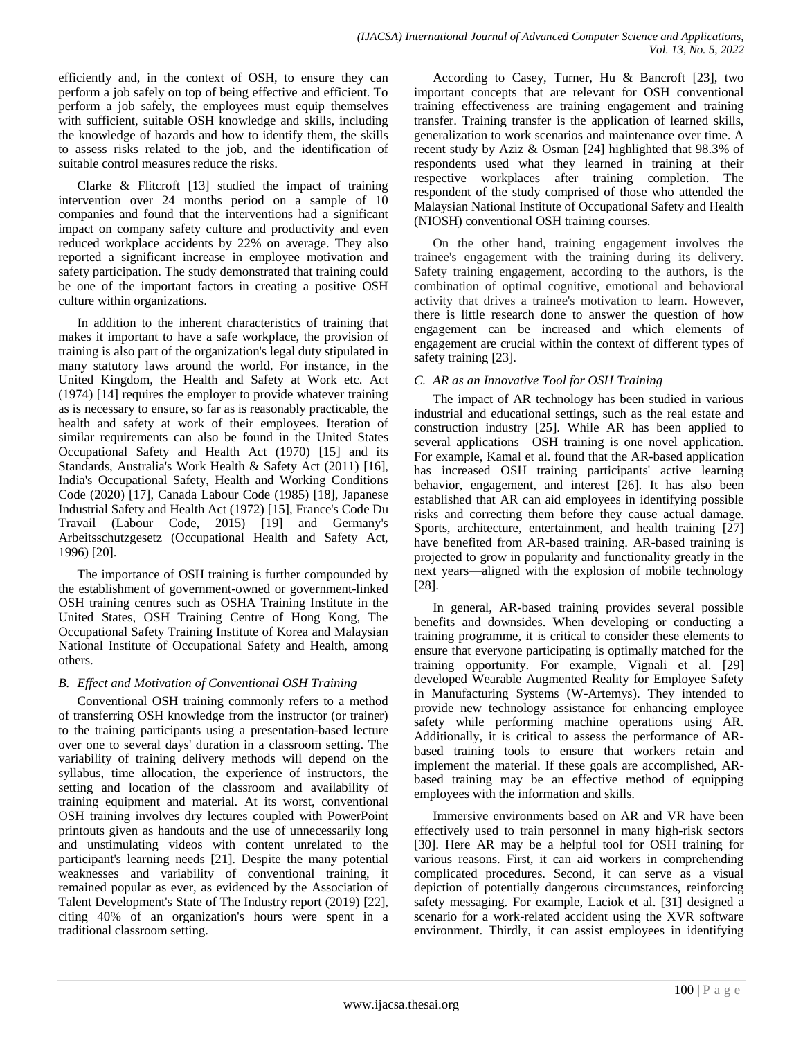efficiently and, in the context of OSH, to ensure they can perform a job safely on top of being effective and efficient. To perform a job safely, the employees must equip themselves with sufficient, suitable OSH knowledge and skills, including the knowledge of hazards and how to identify them, the skills to assess risks related to the job, and the identification of suitable control measures reduce the risks.

Clarke & Flitcroft [13] studied the impact of training intervention over 24 months period on a sample of 10 companies and found that the interventions had a significant impact on company safety culture and productivity and even reduced workplace accidents by 22% on average. They also reported a significant increase in employee motivation and safety participation. The study demonstrated that training could be one of the important factors in creating a positive OSH culture within organizations.

In addition to the inherent characteristics of training that makes it important to have a safe workplace, the provision of training is also part of the organization's legal duty stipulated in many statutory laws around the world. For instance, in the United Kingdom, the Health and Safety at Work etc. Act (1974) [14] requires the employer to provide whatever training as is necessary to ensure, so far as is reasonably practicable, the health and safety at work of their employees. Iteration of similar requirements can also be found in the United States Occupational Safety and Health Act (1970) [15] and its Standards, Australia's Work Health & Safety Act (2011) [16], India's Occupational Safety, Health and Working Conditions Code (2020) [17], Canada Labour Code (1985) [18], Japanese Industrial Safety and Health Act (1972) [15], France's Code Du Travail (Labour Code, 2015) [19] and Germany's Arbeitsschutzgesetz (Occupational Health and Safety Act, 1996) [20].

The importance of OSH training is further compounded by the establishment of government-owned or government-linked OSH training centres such as OSHA Training Institute in the United States, OSH Training Centre of Hong Kong, The Occupational Safety Training Institute of Korea and Malaysian National Institute of Occupational Safety and Health, among others.

# *B. Effect and Motivation of Conventional OSH Training*

Conventional OSH training commonly refers to a method of transferring OSH knowledge from the instructor (or trainer) to the training participants using a presentation-based lecture over one to several days' duration in a classroom setting. The variability of training delivery methods will depend on the syllabus, time allocation, the experience of instructors, the setting and location of the classroom and availability of training equipment and material. At its worst, conventional OSH training involves dry lectures coupled with PowerPoint printouts given as handouts and the use of unnecessarily long and unstimulating videos with content unrelated to the participant's learning needs [21]. Despite the many potential weaknesses and variability of conventional training, it remained popular as ever, as evidenced by the Association of Talent Development's State of The Industry report (2019) [22], citing 40% of an organization's hours were spent in a traditional classroom setting.

According to Casey, Turner, Hu & Bancroft [23], two important concepts that are relevant for OSH conventional training effectiveness are training engagement and training transfer. Training transfer is the application of learned skills, generalization to work scenarios and maintenance over time. A recent study by Aziz & Osman [24] highlighted that 98.3% of respondents used what they learned in training at their respective workplaces after training completion. The respondent of the study comprised of those who attended the Malaysian National Institute of Occupational Safety and Health (NIOSH) conventional OSH training courses.

On the other hand, training engagement involves the trainee's engagement with the training during its delivery. Safety training engagement, according to the authors, is the combination of optimal cognitive, emotional and behavioral activity that drives a trainee's motivation to learn. However, there is little research done to answer the question of how engagement can be increased and which elements of engagement are crucial within the context of different types of safety training [23].

# *C. AR as an Innovative Tool for OSH Training*

The impact of AR technology has been studied in various industrial and educational settings, such as the real estate and construction industry [25]. While AR has been applied to several applications—OSH training is one novel application. For example, Kamal et al. found that the AR-based application has increased OSH training participants' active learning behavior, engagement, and interest [26]. It has also been established that AR can aid employees in identifying possible risks and correcting them before they cause actual damage. Sports, architecture, entertainment, and health training [27] have benefited from AR-based training. AR-based training is projected to grow in popularity and functionality greatly in the next years—aligned with the explosion of mobile technology [28].

In general, AR-based training provides several possible benefits and downsides. When developing or conducting a training programme, it is critical to consider these elements to ensure that everyone participating is optimally matched for the training opportunity. For example, Vignali et al. [29] developed Wearable Augmented Reality for Employee Safety in Manufacturing Systems (W-Artemys). They intended to provide new technology assistance for enhancing employee safety while performing machine operations using AR. Additionally, it is critical to assess the performance of ARbased training tools to ensure that workers retain and implement the material. If these goals are accomplished, ARbased training may be an effective method of equipping employees with the information and skills.

Immersive environments based on AR and VR have been effectively used to train personnel in many high-risk sectors [30]. Here AR may be a helpful tool for OSH training for various reasons. First, it can aid workers in comprehending complicated procedures. Second, it can serve as a visual depiction of potentially dangerous circumstances, reinforcing safety messaging. For example, Laciok et al. [31] designed a scenario for a work-related accident using the XVR software environment. Thirdly, it can assist employees in identifying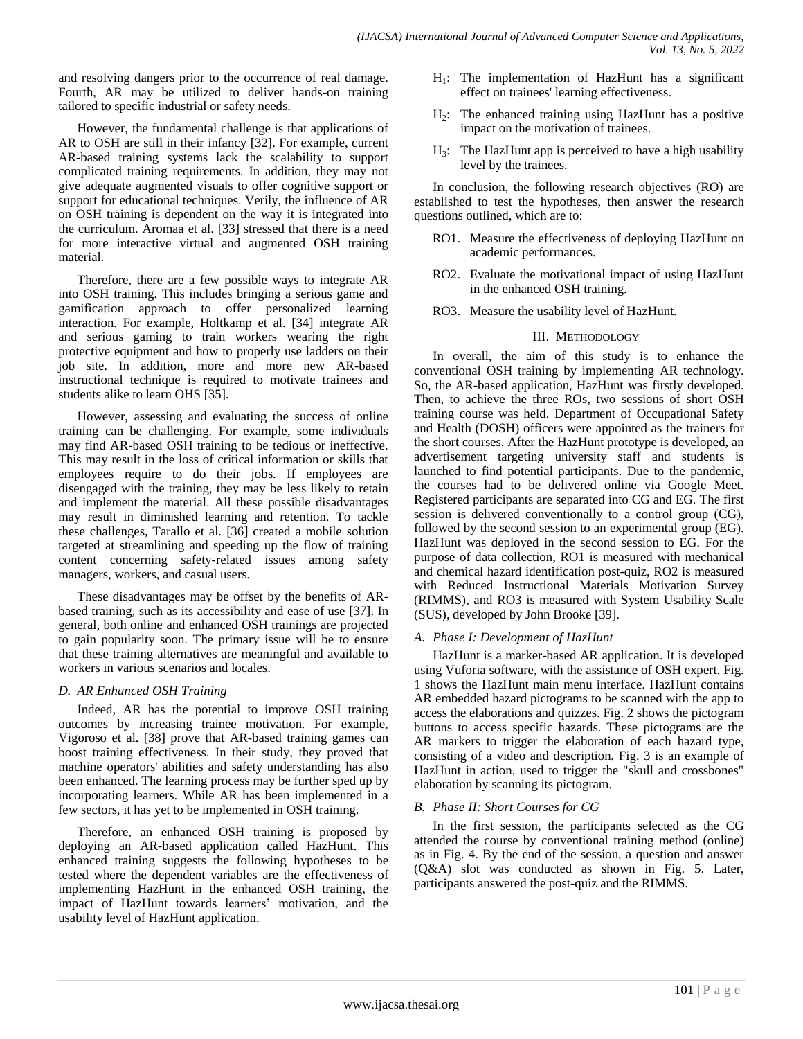and resolving dangers prior to the occurrence of real damage. Fourth, AR may be utilized to deliver hands-on training tailored to specific industrial or safety needs.

However, the fundamental challenge is that applications of AR to OSH are still in their infancy [32]. For example, current AR-based training systems lack the scalability to support complicated training requirements. In addition, they may not give adequate augmented visuals to offer cognitive support or support for educational techniques. Verily, the influence of AR on OSH training is dependent on the way it is integrated into the curriculum. Aromaa et al. [33] stressed that there is a need for more interactive virtual and augmented OSH training material.

Therefore, there are a few possible ways to integrate AR into OSH training. This includes bringing a serious game and gamification approach to offer personalized learning interaction. For example, Holtkamp et al. [34] integrate AR and serious gaming to train workers wearing the right protective equipment and how to properly use ladders on their job site. In addition, more and more new AR-based instructional technique is required to motivate trainees and students alike to learn OHS [35].

However, assessing and evaluating the success of online training can be challenging. For example, some individuals may find AR-based OSH training to be tedious or ineffective. This may result in the loss of critical information or skills that employees require to do their jobs. If employees are disengaged with the training, they may be less likely to retain and implement the material. All these possible disadvantages may result in diminished learning and retention. To tackle these challenges, Tarallo et al. [36] created a mobile solution targeted at streamlining and speeding up the flow of training content concerning safety-related issues among safety managers, workers, and casual users.

These disadvantages may be offset by the benefits of ARbased training, such as its accessibility and ease of use [37]. In general, both online and enhanced OSH trainings are projected to gain popularity soon. The primary issue will be to ensure that these training alternatives are meaningful and available to workers in various scenarios and locales.

# *D. AR Enhanced OSH Training*

Indeed, AR has the potential to improve OSH training outcomes by increasing trainee motivation. For example, Vigoroso et al. [38] prove that AR-based training games can boost training effectiveness. In their study, they proved that machine operators' abilities and safety understanding has also been enhanced. The learning process may be further sped up by incorporating learners. While AR has been implemented in a few sectors, it has yet to be implemented in OSH training.

Therefore, an enhanced OSH training is proposed by deploying an AR-based application called HazHunt. This enhanced training suggests the following hypotheses to be tested where the dependent variables are the effectiveness of implementing HazHunt in the enhanced OSH training, the impact of HazHunt towards learners' motivation, and the usability level of HazHunt application.

- $H_1$ : The implementation of HazHunt has a significant effect on trainees' learning effectiveness.
- H2: The enhanced training using HazHunt has a positive impact on the motivation of trainees.
- H3: The HazHunt app is perceived to have a high usability level by the trainees.

In conclusion, the following research objectives (RO) are established to test the hypotheses, then answer the research questions outlined, which are to:

- RO1. Measure the effectiveness of deploying HazHunt on academic performances.
- RO2. Evaluate the motivational impact of using HazHunt in the enhanced OSH training.
- RO3. Measure the usability level of HazHunt.

## III. METHODOLOGY

In overall, the aim of this study is to enhance the conventional OSH training by implementing AR technology. So, the AR-based application, HazHunt was firstly developed. Then, to achieve the three ROs, two sessions of short OSH training course was held. Department of Occupational Safety and Health (DOSH) officers were appointed as the trainers for the short courses. After the HazHunt prototype is developed, an advertisement targeting university staff and students is launched to find potential participants. Due to the pandemic, the courses had to be delivered online via Google Meet. Registered participants are separated into CG and EG. The first session is delivered conventionally to a control group (CG), followed by the second session to an experimental group (EG). HazHunt was deployed in the second session to EG. For the purpose of data collection, RO1 is measured with mechanical and chemical hazard identification post-quiz, RO2 is measured with Reduced Instructional Materials Motivation Survey (RIMMS), and RO3 is measured with System Usability Scale (SUS), developed by John Brooke [39].

#### *A. Phase I: Development of HazHunt*

HazHunt is a marker-based AR application. It is developed using Vuforia software, with the assistance of OSH expert. Fig. 1 shows the HazHunt main menu interface. HazHunt contains AR embedded hazard pictograms to be scanned with the app to access the elaborations and quizzes. Fig. 2 shows the pictogram buttons to access specific hazards. These pictograms are the AR markers to trigger the elaboration of each hazard type, consisting of a video and description. Fig. 3 is an example of HazHunt in action, used to trigger the "skull and crossbones" elaboration by scanning its pictogram.

# *B. Phase II: Short Courses for CG*

In the first session, the participants selected as the CG attended the course by conventional training method (online) as in Fig. 4. By the end of the session, a question and answer (Q&A) slot was conducted as shown in Fig. 5. Later, participants answered the post-quiz and the RIMMS.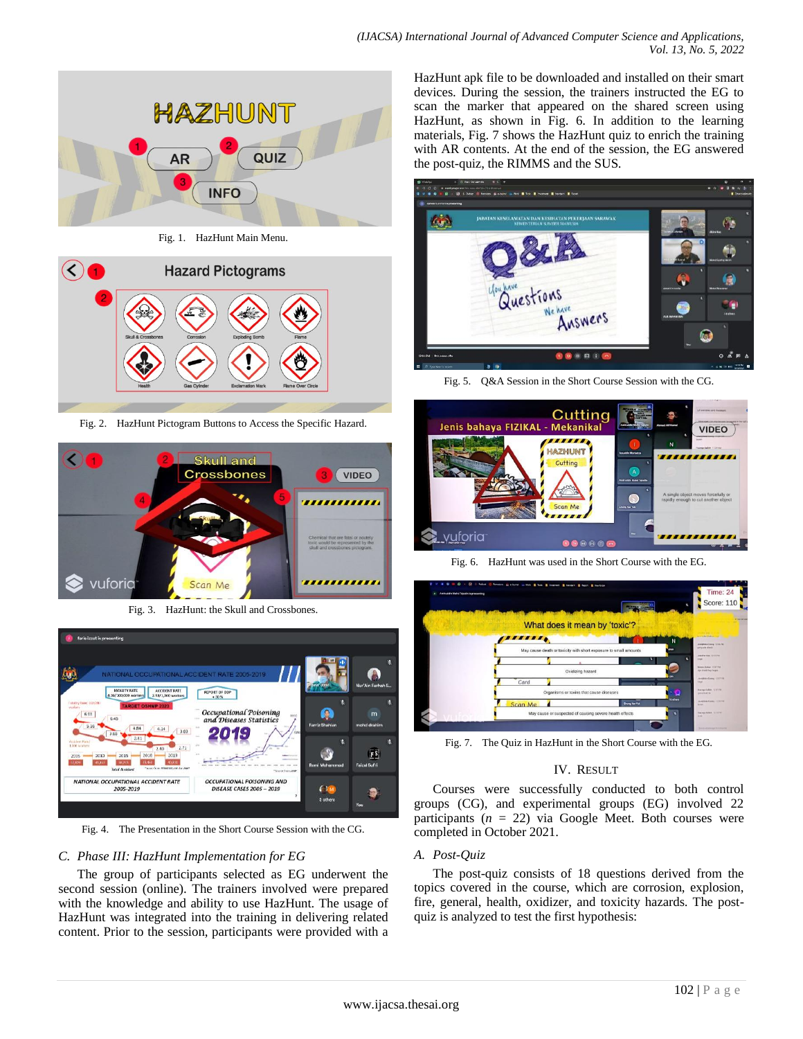

Fig. 1. HazHunt Main Menu.



Fig. 2. HazHunt Pictogram Buttons to Access the Specific Hazard.



Fig. 3. HazHunt: the Skull and Crossbones.



Fig. 4. The Presentation in the Short Course Session with the CG.

#### *C. Phase III: HazHunt Implementation for EG*

The group of participants selected as EG underwent the second session (online). The trainers involved were prepared with the knowledge and ability to use HazHunt. The usage of HazHunt was integrated into the training in delivering related content. Prior to the session, participants were provided with a HazHunt apk file to be downloaded and installed on their smart devices. During the session, the trainers instructed the EG to scan the marker that appeared on the shared screen using HazHunt, as shown in Fig. 6. In addition to the learning materials, Fig. 7 shows the HazHunt quiz to enrich the training with AR contents. At the end of the session, the EG answered the post-quiz, the RIMMS and the SUS.



Fig. 5. Q&A Session in the Short Course Session with the CG.



Fig. 6. HazHunt was used in the Short Course with the EG.



Fig. 7. The Quiz in HazHunt in the Short Course with the EG.

#### IV. RESULT

Courses were successfully conducted to both control groups (CG), and experimental groups (EG) involved 22 participants  $(n = 22)$  via Google Meet. Both courses were completed in October 2021.

#### *A. Post-Quiz*

The post-quiz consists of 18 questions derived from the topics covered in the course, which are corrosion, explosion, fire, general, health, oxidizer, and toxicity hazards. The postquiz is analyzed to test the first hypothesis: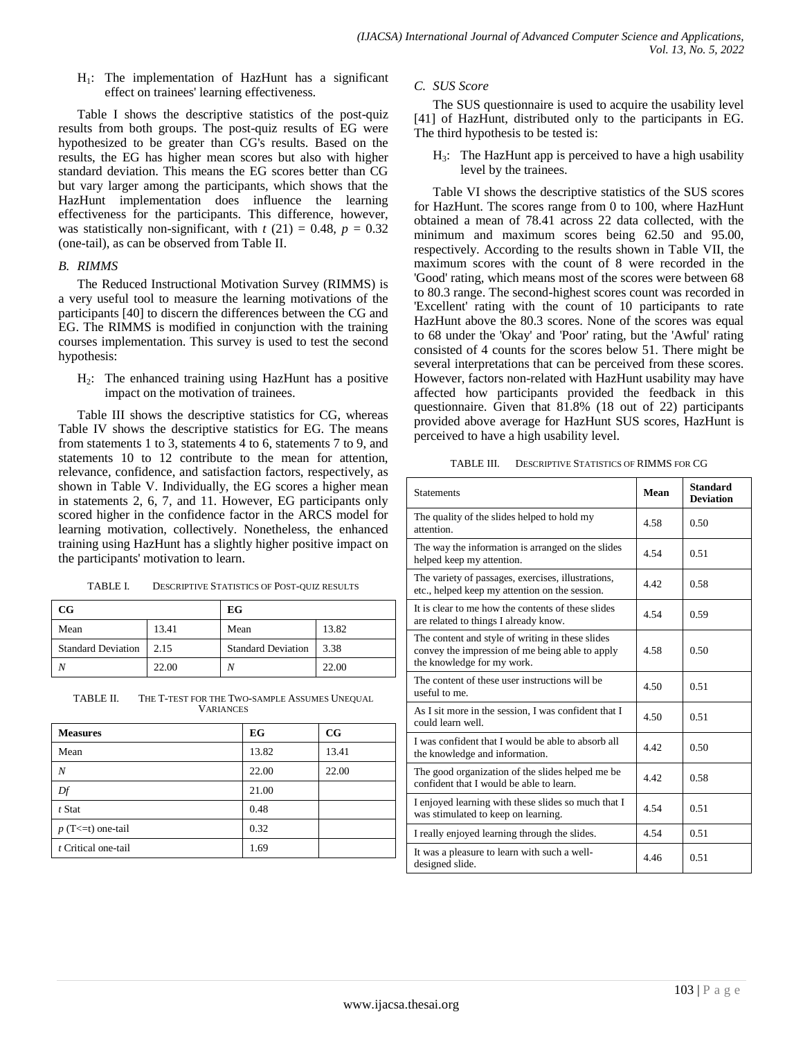$H_1$ : The implementation of HazHunt has a significant effect on trainees' learning effectiveness.

Table I shows the descriptive statistics of the post-quiz results from both groups. The post-quiz results of EG were hypothesized to be greater than CG's results. Based on the results, the EG has higher mean scores but also with higher standard deviation. This means the EG scores better than CG but vary larger among the participants, which shows that the HazHunt implementation does influence the learning effectiveness for the participants. This difference, however, was statistically non-significant, with  $t(21) = 0.48$ ,  $p = 0.32$ (one-tail), as can be observed from Table II.

#### *B. RIMMS*

The Reduced Instructional Motivation Survey (RIMMS) is a very useful tool to measure the learning motivations of the participants [40] to discern the differences between the CG and EG. The RIMMS is modified in conjunction with the training courses implementation. This survey is used to test the second hypothesis:

H2: The enhanced training using HazHunt has a positive impact on the motivation of trainees.

Table III shows the descriptive statistics for CG, whereas Table IV shows the descriptive statistics for EG. The means from statements 1 to 3, statements 4 to 6, statements 7 to 9, and statements 10 to 12 contribute to the mean for attention, relevance, confidence, and satisfaction factors, respectively, as shown in Table V. Individually, the EG scores a higher mean in statements 2, 6, 7, and 11. However, EG participants only scored higher in the confidence factor in the ARCS model for learning motivation, collectively. Nonetheless, the enhanced training using HazHunt has a slightly higher positive impact on the participants' motivation to learn.

| TABLE I. | <b>DESCRIPTIVE STATISTICS OF POST-QUIZ RESULTS</b> |
|----------|----------------------------------------------------|
|          |                                                    |

| $_{\rm CG}$               |       | EG                        |       |  |
|---------------------------|-------|---------------------------|-------|--|
| Mean                      | 13.41 | Mean                      | 13.82 |  |
| <b>Standard Deviation</b> | 2.15  | <b>Standard Deviation</b> | 3.38  |  |
|                           | 22.00 | ٨                         | 22.00 |  |

TABLE II. THE T-TEST FOR THE TWO-SAMPLE ASSUMES UNEQUAL VARIANCES

| <b>Measures</b>     | EG    | $_{\rm CG}$ |
|---------------------|-------|-------------|
| Mean                | 13.82 | 13.41       |
| N                   | 22.00 | 22.00       |
| Df                  | 21.00 |             |
| $t$ Stat            | 0.48  |             |
| $p(T<=t)$ one-tail  | 0.32  |             |
| t Critical one-tail | 1.69  |             |

## *C. SUS Score*

The SUS questionnaire is used to acquire the usability level [41] of HazHunt, distributed only to the participants in EG. The third hypothesis to be tested is:

 $H_3$ : The HazHunt app is perceived to have a high usability level by the trainees.

Table VI shows the descriptive statistics of the SUS scores for HazHunt. The scores range from 0 to 100, where HazHunt obtained a mean of 78.41 across 22 data collected, with the minimum and maximum scores being 62.50 and 95.00, respectively. According to the results shown in Table VII, the maximum scores with the count of 8 were recorded in the 'Good' rating, which means most of the scores were between 68 to 80.3 range. The second-highest scores count was recorded in 'Excellent' rating with the count of 10 participants to rate HazHunt above the 80.3 scores. None of the scores was equal to 68 under the 'Okay' and 'Poor' rating, but the 'Awful' rating consisted of 4 counts for the scores below 51. There might be several interpretations that can be perceived from these scores. However, factors non-related with HazHunt usability may have affected how participants provided the feedback in this questionnaire. Given that 81.8% (18 out of 22) participants provided above average for HazHunt SUS scores, HazHunt is perceived to have a high usability level.

TABLE III. DESCRIPTIVE STATISTICS OF RIMMS FOR CG

| <b>Statements</b>                                                                                                                 | Mean | <b>Standard</b><br><b>Deviation</b> |
|-----------------------------------------------------------------------------------------------------------------------------------|------|-------------------------------------|
| The quality of the slides helped to hold my<br>attention.                                                                         | 4.58 | 0.50                                |
| The way the information is arranged on the slides<br>helped keep my attention.                                                    | 4.54 | 0.51                                |
| The variety of passages, exercises, illustrations,<br>etc., helped keep my attention on the session.                              | 4.42 | 0.58                                |
| It is clear to me how the contents of these slides<br>are related to things I already know.                                       | 4.54 | 0.59                                |
| The content and style of writing in these slides<br>convey the impression of me being able to apply<br>the knowledge for my work. | 4.58 | 0.50                                |
| The content of these user instructions will be<br>useful to me.                                                                   | 4.50 | 0.51                                |
| As I sit more in the session, I was confident that I<br>could learn well.                                                         | 4.50 | 0.51                                |
| I was confident that I would be able to absorb all<br>the knowledge and information.                                              | 4.42 | 0.50                                |
| The good organization of the slides helped me be<br>confident that I would be able to learn.                                      | 4.42 | 0.58                                |
| I enjoyed learning with these slides so much that I<br>was stimulated to keep on learning.                                        | 4.54 | 0.51                                |
| I really enjoyed learning through the slides.                                                                                     | 4.54 | 0.51                                |
| It was a pleasure to learn with such a well-<br>designed slide.                                                                   | 4.46 | 0.51                                |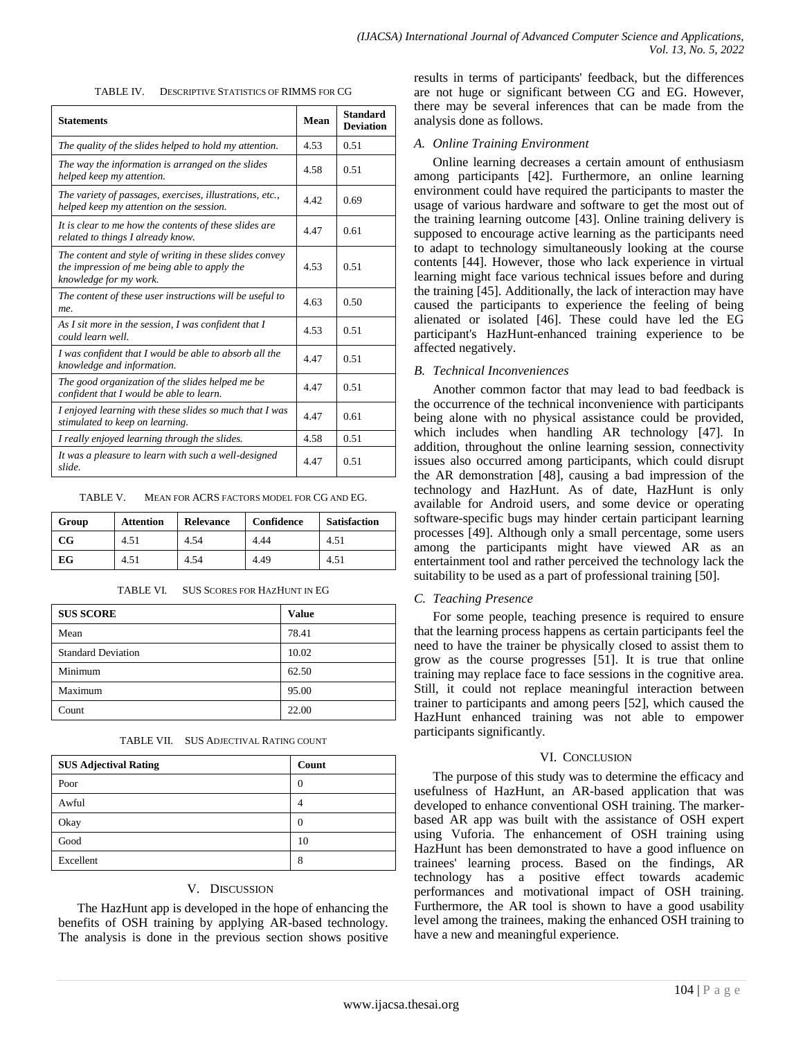TABLE IV. DESCRIPTIVE STATISTICS OF RIMMS FOR CG

| <b>Statements</b>                                                                                                                 | Mean | <b>Standard</b><br><b>Deviation</b> |
|-----------------------------------------------------------------------------------------------------------------------------------|------|-------------------------------------|
| The quality of the slides helped to hold my attention.                                                                            | 4.53 | 0.51                                |
| The way the information is arranged on the slides<br>helped keep my attention.                                                    | 4.58 | 0.51                                |
| The variety of passages, exercises, illustrations, etc.,<br>helped keep my attention on the session.                              | 4.42 | 0.69                                |
| It is clear to me how the contents of these slides are<br>related to things I already know.                                       | 4.47 | 0.61                                |
| The content and style of writing in these slides convey<br>the impression of me being able to apply the<br>knowledge for my work. | 4.53 | 0.51                                |
| The content of these user instructions will be useful to<br>me.                                                                   | 4.63 | 0.50                                |
| As I sit more in the session, I was confident that I<br>could learn well.                                                         | 4.53 | 0.51                                |
| I was confident that I would be able to absorb all the<br>knowledge and information.                                              | 447  | 0.51                                |
| The good organization of the slides helped me be<br>confident that I would be able to learn.                                      | 4.47 | 0.51                                |
| I enjoyed learning with these slides so much that I was<br>stimulated to keep on learning.                                        | 4.47 | 0.61                                |
| I really enjoyed learning through the slides.                                                                                     | 4.58 | 0.51                                |
| It was a pleasure to learn with such a well-designed<br>slide.                                                                    | 4.47 | 0.51                                |

TABLE V. MEAN FOR ACRS FACTORS MODEL FOR CG AND EG.

| Group       | <b>Attention</b> | <b>Relevance</b> | Confidence | <b>Satisfaction</b> |
|-------------|------------------|------------------|------------|---------------------|
| $_{\rm CG}$ | 4.51             | 4.54             | 4.44       | 4.51                |
| EG          | 4.51             | 4.54             | 4.49       | 4.51                |

| TABLE VI. |  | <b>SUS SCORES FOR HAZHUNT IN EG</b> |
|-----------|--|-------------------------------------|
|-----------|--|-------------------------------------|

| <b>SUS SCORE</b>          | <b>Value</b> |
|---------------------------|--------------|
| Mean                      | 78.41        |
| <b>Standard Deviation</b> | 10.02        |
| Minimum                   | 62.50        |
| Maximum                   | 95.00        |
| Count                     | 22.00        |

| <b>SUS Adjectival Rating</b> | Count    |
|------------------------------|----------|
| Poor                         | $\theta$ |
| Awful                        |          |
| Okay                         | 0        |
| Good                         | 10       |
| Excellent                    | 8        |

#### V. DISCUSSION

The HazHunt app is developed in the hope of enhancing the benefits of OSH training by applying AR-based technology. The analysis is done in the previous section shows positive results in terms of participants' feedback, but the differences are not huge or significant between CG and EG. However, there may be several inferences that can be made from the analysis done as follows.

## *A. Online Training Environment*

Online learning decreases a certain amount of enthusiasm among participants [42]. Furthermore, an online learning environment could have required the participants to master the usage of various hardware and software to get the most out of the training learning outcome [43]. Online training delivery is supposed to encourage active learning as the participants need to adapt to technology simultaneously looking at the course contents [44]. However, those who lack experience in virtual learning might face various technical issues before and during the training [45]. Additionally, the lack of interaction may have caused the participants to experience the feeling of being alienated or isolated [46]. These could have led the EG participant's HazHunt-enhanced training experience to be affected negatively.

## *B. Technical Inconveniences*

Another common factor that may lead to bad feedback is the occurrence of the technical inconvenience with participants being alone with no physical assistance could be provided, which includes when handling AR technology [47]. In addition, throughout the online learning session, connectivity issues also occurred among participants, which could disrupt the AR demonstration [48], causing a bad impression of the technology and HazHunt. As of date, HazHunt is only available for Android users, and some device or operating software-specific bugs may hinder certain participant learning processes [49]. Although only a small percentage, some users among the participants might have viewed AR as an entertainment tool and rather perceived the technology lack the suitability to be used as a part of professional training [50].

# *C. Teaching Presence*

For some people, teaching presence is required to ensure that the learning process happens as certain participants feel the need to have the trainer be physically closed to assist them to grow as the course progresses [51]. It is true that online training may replace face to face sessions in the cognitive area. Still, it could not replace meaningful interaction between trainer to participants and among peers [52], which caused the HazHunt enhanced training was not able to empower participants significantly.

#### VI. CONCLUSION

The purpose of this study was to determine the efficacy and usefulness of HazHunt, an AR-based application that was developed to enhance conventional OSH training. The markerbased AR app was built with the assistance of OSH expert using Vuforia. The enhancement of OSH training using HazHunt has been demonstrated to have a good influence on trainees' learning process. Based on the findings, AR technology has a positive effect towards academic performances and motivational impact of OSH training. Furthermore, the AR tool is shown to have a good usability level among the trainees, making the enhanced OSH training to have a new and meaningful experience.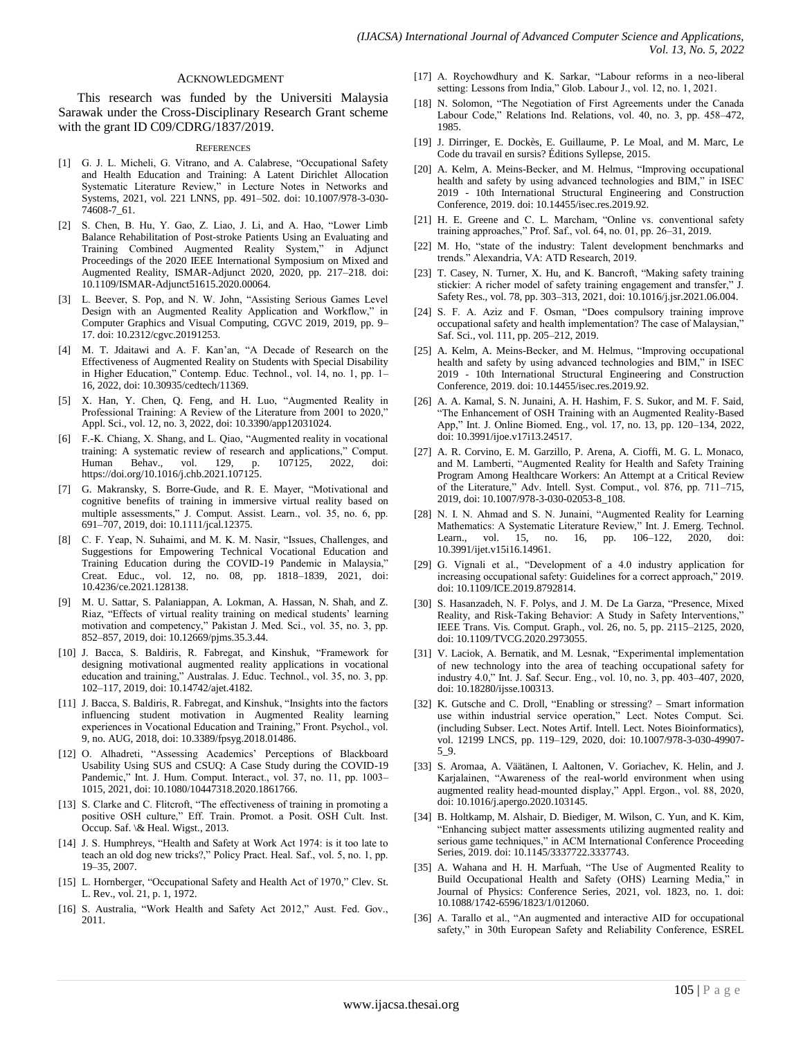#### ACKNOWLEDGMENT

This research was funded by the Universiti Malaysia Sarawak under the Cross-Disciplinary Research Grant scheme with the grant ID C09/CDRG/1837/2019.

#### **REFERENCES**

- [1] G. J. L. Micheli, G. Vitrano, and A. Calabrese, "Occupational Safety and Health Education and Training: A Latent Dirichlet Allocation Systematic Literature Review," in Lecture Notes in Networks and Systems, 2021, vol. 221 LNNS, pp. 491–502. doi: 10.1007/978-3-030- 74608-7\_61.
- [2] S. Chen, B. Hu, Y. Gao, Z. Liao, J. Li, and A. Hao, "Lower Limb Balance Rehabilitation of Post-stroke Patients Using an Evaluating and Training Combined Augmented Reality System," in Adjunct Proceedings of the 2020 IEEE International Symposium on Mixed and Augmented Reality, ISMAR-Adjunct 2020, 2020, pp. 217–218. doi: 10.1109/ISMAR-Adjunct51615.2020.00064.
- [3] L. Beever, S. Pop, and N. W. John, "Assisting Serious Games Level Design with an Augmented Reality Application and Workflow," in Computer Graphics and Visual Computing, CGVC 2019, 2019, pp. 9– 17. doi: 10.2312/cgvc.20191253.
- [4] M. T. Jdaitawi and A. F. Kan'an, "A Decade of Research on the Effectiveness of Augmented Reality on Students with Special Disability in Higher Education," Contemp. Educ. Technol., vol. 14, no. 1, pp. 1– 16, 2022, doi: 10.30935/cedtech/11369.
- [5] X. Han, Y. Chen, Q. Feng, and H. Luo, "Augmented Reality in Professional Training: A Review of the Literature from 2001 to 2020," Appl. Sci., vol. 12, no. 3, 2022, doi: 10.3390/app12031024.
- [6] F.-K. Chiang, X. Shang, and L. Qiao, "Augmented reality in vocational training: A systematic review of research and applications," Comput. Human Behav., vol. 129, p. 107125, 2022, doi: https://doi.org/10.1016/j.chb.2021.107125.
- [7] G. Makransky, S. Borre-Gude, and R. E. Mayer, "Motivational and cognitive benefits of training in immersive virtual reality based on multiple assessments," J. Comput. Assist. Learn., vol. 35, no. 6, pp. 691–707, 2019, doi: 10.1111/jcal.12375.
- [8] C. F. Yeap, N. Suhaimi, and M. K. M. Nasir, "Issues, Challenges, and Suggestions for Empowering Technical Vocational Education and Training Education during the COVID-19 Pandemic in Malaysia," Creat. Educ., vol. 12, no. 08, pp. 1818–1839, 2021, doi: 10.4236/ce.2021.128138.
- [9] M. U. Sattar, S. Palaniappan, A. Lokman, A. Hassan, N. Shah, and Z. Riaz, "Effects of virtual reality training on medical students' learning motivation and competency," Pakistan J. Med. Sci., vol. 35, no. 3, pp. 852–857, 2019, doi: 10.12669/pjms.35.3.44.
- [10] J. Bacca, S. Baldiris, R. Fabregat, and Kinshuk, "Framework for designing motivational augmented reality applications in vocational education and training," Australas. J. Educ. Technol., vol. 35, no. 3, pp. 102–117, 2019, doi: 10.14742/ajet.4182.
- [11] J. Bacca, S. Baldiris, R. Fabregat, and Kinshuk, "Insights into the factors influencing student motivation in Augmented Reality learning experiences in Vocational Education and Training," Front. Psychol., vol. 9, no. AUG, 2018, doi: 10.3389/fpsyg.2018.01486.
- [12] O. Alhadreti, "Assessing Academics' Perceptions of Blackboard Usability Using SUS and CSUQ: A Case Study during the COVID-19 Pandemic," Int. J. Hum. Comput. Interact., vol. 37, no. 11, pp. 1003-1015, 2021, doi: 10.1080/10447318.2020.1861766.
- [13] S. Clarke and C. Flitcroft, "The effectiveness of training in promoting a positive OSH culture," Eff. Train. Promot. a Posit. OSH Cult. Inst. Occup. Saf. \& Heal. Wigst., 2013.
- [14] J. S. Humphreys, "Health and Safety at Work Act 1974: is it too late to teach an old dog new tricks?," Policy Pract. Heal. Saf., vol. 5, no. 1, pp. 19–35, 2007.
- [15] L. Hornberger, "Occupational Safety and Health Act of 1970," Clev. St. L. Rev., vol. 21, p. 1, 1972.
- [16] S. Australia, "Work Health and Safety Act 2012," Aust. Fed. Gov., 2011.
- [17] A. Roychowdhury and K. Sarkar, "Labour reforms in a neo-liberal setting: Lessons from India," Glob. Labour J., vol. 12, no. 1, 2021.
- [18] N. Solomon, "The Negotiation of First Agreements under the Canada Labour Code," Relations Ind. Relations, vol. 40, no. 3, pp. 458-472, 1985.
- [19] J. Dirringer, E. Dockès, E. Guillaume, P. Le Moal, and M. Marc, Le Code du travail en sursis? Éditions Syllepse, 2015.
- [20] A. Kelm, A. Meins-Becker, and M. Helmus, "Improving occupational health and safety by using advanced technologies and BIM," in ISEC 2019 - 10th International Structural Engineering and Construction Conference, 2019. doi: 10.14455/isec.res.2019.92.
- [21] H. E. Greene and C. L. Marcham, "Online vs. conventional safety training approaches,‖ Prof. Saf., vol. 64, no. 01, pp. 26–31, 2019.
- [22] M. Ho, "state of the industry: Talent development benchmarks and trends." Alexandria, VA: ATD Research, 2019.
- [23] T. Casey, N. Turner, X. Hu, and K. Bancroft, "Making safety training stickier: A richer model of safety training engagement and transfer," J. Safety Res., vol. 78, pp. 303–313, 2021, doi: 10.1016/j.jsr.2021.06.004.
- [24] S. F. A. Aziz and F. Osman, "Does compulsory training improve occupational safety and health implementation? The case of Malaysian," Saf. Sci., vol. 111, pp. 205–212, 2019.
- [25] A. Kelm, A. Meins-Becker, and M. Helmus, "Improving occupational health and safety by using advanced technologies and BIM," in ISEC 2019 - 10th International Structural Engineering and Construction Conference, 2019. doi: 10.14455/isec.res.2019.92.
- [26] A. A. Kamal, S. N. Junaini, A. H. Hashim, F. S. Sukor, and M. F. Said, ―The Enhancement of OSH Training with an Augmented Reality-Based App," Int. J. Online Biomed. Eng., vol. 17, no. 13, pp. 120-134, 2022, doi: 10.3991/ijoe.v17i13.24517.
- [27] A. R. Corvino, E. M. Garzillo, P. Arena, A. Cioffi, M. G. L. Monaco, and M. Lamberti, "Augmented Reality for Health and Safety Training Program Among Healthcare Workers: An Attempt at a Critical Review of the Literature," Adv. Intell. Syst. Comput., vol. 876, pp. 711-715, 2019, doi: 10.1007/978-3-030-02053-8\_108.
- [28] N. I. N. Ahmad and S. N. Junaini, "Augmented Reality for Learning Mathematics: A Systematic Literature Review," Int. J. Emerg. Technol. Learn., vol. 15, no. 16, pp. 106–122, 2020, doi: 10.3991/ijet.v15i16.14961.
- [29] G. Vignali et al., "Development of a 4.0 industry application for increasing occupational safety: Guidelines for a correct approach," 2019. doi: 10.1109/ICE.2019.8792814.
- [30] S. Hasanzadeh, N. F. Polys, and J. M. De La Garza, "Presence, Mixed Reality, and Risk-Taking Behavior: A Study in Safety Interventions," IEEE Trans. Vis. Comput. Graph., vol. 26, no. 5, pp. 2115–2125, 2020, doi: 10.1109/TVCG.2020.2973055.
- [31] V. Laciok, A. Bernatik, and M. Lesnak, "Experimental implementation of new technology into the area of teaching occupational safety for industry 4.0," Int. J. Saf. Secur. Eng., vol. 10, no. 3, pp. 403-407, 2020, doi: 10.18280/ijsse.100313.
- [32] K. Gutsche and C. Droll, "Enabling or stressing? Smart information use within industrial service operation," Lect. Notes Comput. Sci. (including Subser. Lect. Notes Artif. Intell. Lect. Notes Bioinformatics), vol. 12199 LNCS, pp. 119–129, 2020, doi: 10.1007/978-3-030-49907- 5\_9.
- [33] S. Aromaa, A. Väätänen, I. Aaltonen, V. Goriachev, K. Helin, and J. Karjalainen, "Awareness of the real-world environment when using augmented reality head-mounted display," Appl. Ergon., vol. 88, 2020, doi: 10.1016/j.apergo.2020.103145.
- [34] B. Holtkamp, M. Alshair, D. Biediger, M. Wilson, C. Yun, and K. Kim, ―Enhancing subject matter assessments utilizing augmented reality and serious game techniques," in ACM International Conference Proceeding Series, 2019. doi: 10.1145/3337722.3337743.
- [35] A. Wahana and H. H. Marfuah, "The Use of Augmented Reality to Build Occupational Health and Safety (OHS) Learning Media," in Journal of Physics: Conference Series, 2021, vol. 1823, no. 1. doi: 10.1088/1742-6596/1823/1/012060.
- [36] A. Tarallo et al., "An augmented and interactive AID for occupational safety," in 30th European Safety and Reliability Conference, ESREL